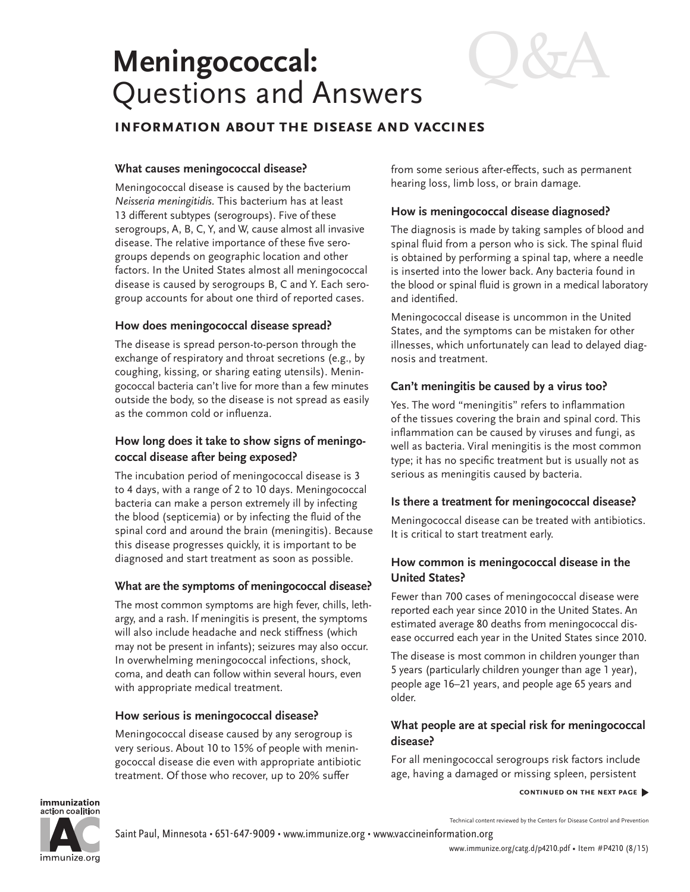# **Meningococcal:** Questions and Answers

# **information about the disease and vaccines**

# **What causes meningococcal disease?**

Meningococcal disease is caused by the bacterium *Neisseria meningitidis.* This bacterium has at least 13 different subtypes (serogroups). Five of these serogroups, A, B, C, Y, and W, cause almost all invasive disease. The relative importance of these five serogroups depends on geographic location and other factors. In the United States almost all meningococcal disease is caused by serogroups B, C and Y. Each serogroup accounts for about one third of reported cases.

# **How does meningococcal disease spread?**

The disease is spread person-to-person through the exchange of respiratory and throat secretions (e.g., by coughing, kissing, or sharing eating utensils). Meningococcal bacteria can't live for more than a few minutes outside the body, so the disease is not spread as easily as the common cold or influenza.

# **How long does it take to show signs of meningococcal disease after being exposed?**

The incubation period of meningococcal disease is 3 to 4 days, with a range of 2 to 10 days. Meningococcal bacteria can make a person extremely ill by infecting the blood (septicemia) or by infecting the fluid of the spinal cord and around the brain (meningitis). Because this disease progresses quickly, it is important to be diagnosed and start treatment as soon as possible.

# **What are the symptoms of meningococcal disease?**

The most common symptoms are high fever, chills, lethargy, and a rash. If meningitis is present, the symptoms will also include headache and neck stiffness (which may not be present in infants); seizures may also occur. In overwhelming meningococcal infections, shock, coma, and death can follow within several hours, even with appropriate medical treatment.

# **How serious is meningococcal disease?**

Meningococcal disease caused by any serogroup is very serious. About 10 to 15% of people with meningococcal disease die even with appropriate antibiotic treatment. Of those who recover, up to 20% suffer

from some serious after-effects, such as permanent hearing loss, limb loss, or brain damage.

# **How is meningococcal disease diagnosed?**

The diagnosis is made by taking samples of blood and spinal fluid from a person who is sick. The spinal fluid is obtained by performing a spinal tap, where a needle is inserted into the lower back. Any bacteria found in the blood or spinal fluid is grown in a medical laboratory and identified.

Meningococcal disease is uncommon in the United States, and the symptoms can be mistaken for other illnesses, which unfortunately can lead to delayed diagnosis and treatment.

# **Can't meningitis be caused by a virus too?**

Yes. The word "meningitis" refers to inflammation of the tissues covering the brain and spinal cord. This inflammation can be caused by viruses and fungi, as well as bacteria. Viral meningitis is the most common type; it has no specific treatment but is usually not as serious as meningitis caused by bacteria.

# **Is there a treatment for meningococcal disease?**

Meningococcal disease can be treated with antibiotics. It is critical to start treatment early.

# **How common is meningococcal disease in the United States?**

Fewer than 700 cases of meningococcal disease were reported each year since 2010 in the United States. An estimated average 80 deaths from meningococcal disease occurred each year in the United States since 2010.

The disease is most common in children younger than 5 years (particularly children younger than age 1 year), people age 16–21 years, and people age 65 years and older.

# **What people are at special risk for meningococcal disease?**

For all meningococcal serogroups risk factors include age, having a damaged or missing spleen, persistent

### **continued on the next page** �

immunization action coalition

immunize.org

Technical content reviewed by the Centers for Disease Control and Prevention

Saint Paul, Minnesota • 651-647-9009 • [www.immunize.org](http://www.immunize.org) • [www.vaccineinformation.org](http://www.vaccineinformation.org)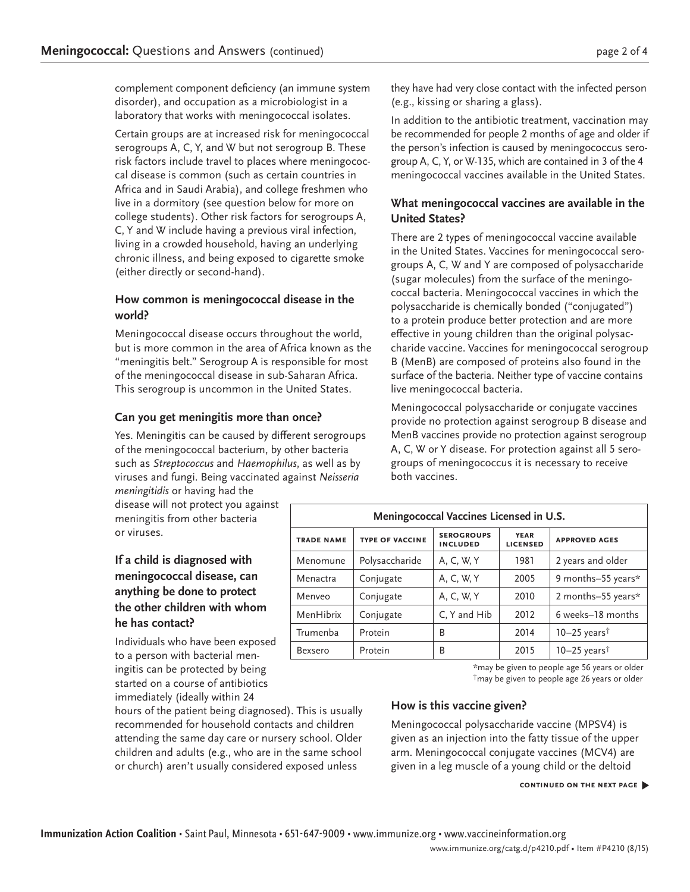complement component deficiency (an immune system disorder), and occupation as a microbiologist in a laboratory that works with meningococcal isolates.

Certain groups are at increased risk for meningococcal serogroups A, C, Y, and W but not serogroup B. These risk factors include travel to places where meningococcal disease is common (such as certain countries in Africa and in Saudi Arabia), and college freshmen who live in a dormitory (see question below for more on college students). Other risk factors for serogroups A, C, Y and W include having a previous viral infection, living in a crowded household, having an underlying chronic illness, and being exposed to cigarette smoke (either directly or second-hand).

# **How common is meningococcal disease in the world?**

Meningococcal disease occurs throughout the world, but is more common in the area of Africa known as the "meningitis belt." Serogroup A is responsible for most of the meningococcal disease in sub-Saharan Africa. This serogroup is uncommon in the United States.

# **Can you get meningitis more than once?**

Yes. Meningitis can be caused by different serogroups of the meningococcal bacterium, by other bacteria such as *Streptococcus* and *Haemophilus*, as well as by viruses and fungi. Being vaccinated against *Neisseria meningitidis* or having had the

disease will not protect you against meningitis from other bacteria or viruses.

# **If a child is diagnosed with meningococcal disease, can anything be done to protect the other children with whom he has contact?**

Individuals who have been exposed to a person with bacterial meningitis can be protected by being started on a course of antibiotics immediately (ideally within 24

hours of the patient being diagnosed). This is usually recommended for household contacts and children attending the same day care or nursery school. Older children and adults (e.g., who are in the same school or church) aren't usually considered exposed unless

they have had very close contact with the infected person (e.g., kissing or sharing a glass).

In addition to the antibiotic treatment, vaccination may be recommended for people 2 months of age and older if the person's infection is caused by meningococcus serogroup A, C, Y, or W-135, which are contained in 3 of the 4 meningococcal vaccines available in the United States.

# **What meningococcal vaccines are available in the United States?**

There are 2 types of meningococcal vaccine available in the United States. Vaccines for meningococcal serogroups A, C, W and Y are composed of polysaccharide (sugar molecules) from the surface of the meningococcal bacteria. Meningococcal vaccines in which the polysaccharide is chemically bonded ("conjugated") to a protein produce better protection and are more effective in young children than the original polysaccharide vaccine. Vaccines for meningococcal serogroup B (MenB) are composed of proteins also found in the surface of the bacteria. Neither type of vaccine contains live meningococcal bacteria.

Meningococcal polysaccharide or conjugate vaccines provide no protection against serogroup B disease and MenB vaccines provide no protection against serogroup A, C, W or Y disease. For protection against all 5 serogroups of meningococcus it is necessary to receive both vaccines.

| Meningococcal Vaccines Licensed in U.S. |                        |                                      |                                |                            |
|-----------------------------------------|------------------------|--------------------------------------|--------------------------------|----------------------------|
| <b>TRADE NAME</b>                       | <b>TYPE OF VACCINE</b> | <b>SEROGROUPS</b><br><b>INCLUDED</b> | <b>YEAR</b><br><b>LICENSED</b> | <b>APPROVED AGES</b>       |
| Menomune                                | Polysaccharide         | A, C, W, Y                           | 1981                           | 2 years and older          |
| Menactra                                | Conjugate              | A, C, W, Y                           | 2005                           | 9 months-55 years*         |
| Menyeo                                  | Conjugate              | A, C, W, Y                           | 2010                           | 2 months-55 years*         |
| MenHibrix                               | Conjugate              | C, Y and Hib                         | 2012                           | 6 weeks-18 months          |
| Trumenba                                | Protein                | B                                    | 2014                           | $10-25$ years <sup>†</sup> |
| Bexsero                                 | Protein                | B                                    | 2015                           | $10-25$ years <sup>†</sup> |

\*may be given to people age 56 years or older

†may be given to people age 26 years or older

# **How is this vaccine given?**

Meningococcal polysaccharide vaccine (MPSV4) is given as an injection into the fatty tissue of the upper arm. Meningococcal conjugate vaccines (MCV4) are given in a leg muscle of a young child or the deltoid

#### **continued on the next page** �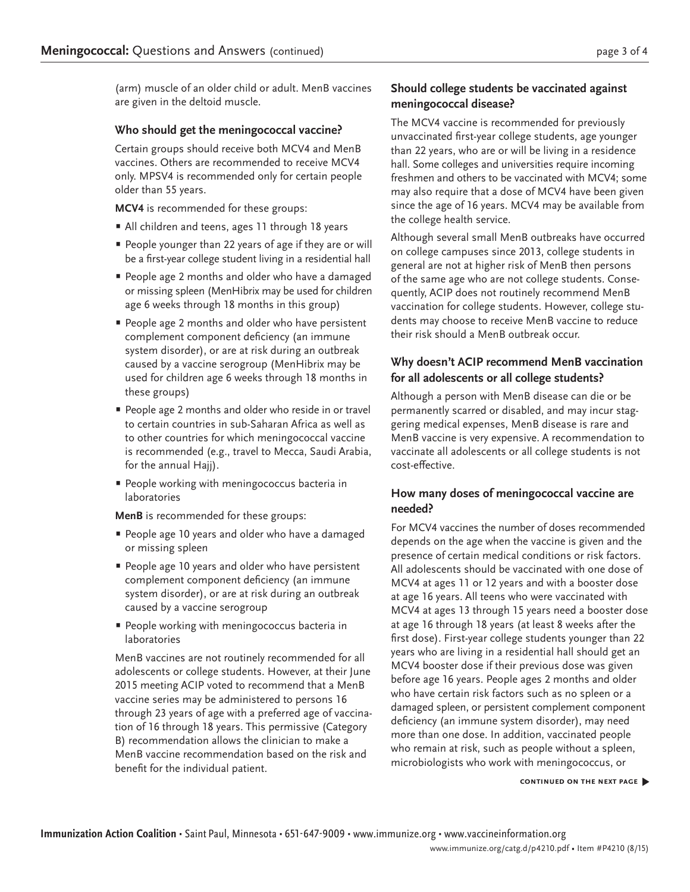(arm) muscle of an older child or adult. MenB vaccines are given in the deltoid muscle.

# **Who should get the meningococcal vaccine?**

Certain groups should receive both MCV4 and MenB vaccines. Others are recommended to receive MCV4 only. MPSV4 is recommended only for certain people older than 55 years.

**MCV4** is recommended for these groups:

- All children and teens, ages 11 through 18 years
- • People younger than 22 years of age if they are or will be a first-year college student living in a residential hall
- **•** People age 2 months and older who have a damaged or missing spleen (MenHibrix may be used for children age 6 weeks through 18 months in this group)
- **•** People age 2 months and older who have persistent complement component deficiency (an immune system disorder), or are at risk during an outbreak caused by a vaccine serogroup (MenHibrix may be used for children age 6 weeks through 18 months in these groups)
- **•** People age 2 months and older who reside in or travel to certain countries in sub-Saharan Africa as well as to other countries for which meningococcal vaccine is recommended (e.g., travel to Mecca, Saudi Arabia, for the annual Hajj).
- **•** People working with meningococcus bacteria in laboratories

**MenB** is recommended for these groups:

- **•** People age 10 years and older who have a damaged or missing spleen
- **•** People age 10 years and older who have persistent complement component deficiency (an immune system disorder), or are at risk during an outbreak caused by a vaccine serogroup
- **•** People working with meningococcus bacteria in laboratories

MenB vaccines are not routinely recommended for all adolescents or college students. However, at their June 2015 meeting ACIP voted to recommend that a MenB vaccine series may be administered to persons 16 through 23 years of age with a preferred age of vaccination of 16 through 18 years. This permissive (Category B) recommendation allows the clinician to make a MenB vaccine recommendation based on the risk and benefit for the individual patient.

# **Should college students be vaccinated against meningococcal disease?**

The MCV4 vaccine is recommended for previously unvaccinated first-year college students, age younger than 22 years, who are or will be living in a residence hall. Some colleges and universities require incoming freshmen and others to be vaccinated with MCV4; some may also require that a dose of MCV4 have been given since the age of 16 years. MCV4 may be available from the college health service.

Although several small MenB outbreaks have occurred on college campuses since 2013, college students in general are not at higher risk of MenB then persons of the same age who are not college students. Consequently, ACIP does not routinely recommend MenB vaccination for college students. However, college students may choose to receive MenB vaccine to reduce their risk should a MenB outbreak occur.

# **Why doesn't ACIP recommend MenB vaccination for all adolescents or all college students?**

Although a person with MenB disease can die or be permanently scarred or disabled, and may incur staggering medical expenses, MenB disease is rare and MenB vaccine is very expensive. A recommendation to vaccinate all adolescents or all college students is not cost-effective.

# **How many doses of meningococcal vaccine are needed?**

For MCV4 vaccines the number of doses recommended depends on the age when the vaccine is given and the presence of certain medical conditions or risk factors. All adolescents should be vaccinated with one dose of MCV4 at ages 11 or 12 years and with a booster dose at age 16 years. All teens who were vaccinated with MCV4 at ages 13 through 15 years need a booster dose at age 16 through 18 years (at least 8 weeks after the first dose). First-year college students younger than 22 years who are living in a residential hall should get an MCV4 booster dose if their previous dose was given before age 16 years. People ages 2 months and older who have certain risk factors such as no spleen or a damaged spleen, or persistent complement component deficiency (an immune system disorder), may need more than one dose. In addition, vaccinated people who remain at risk, such as people without a spleen, microbiologists who work with meningococcus, or

**continued on the next page** �